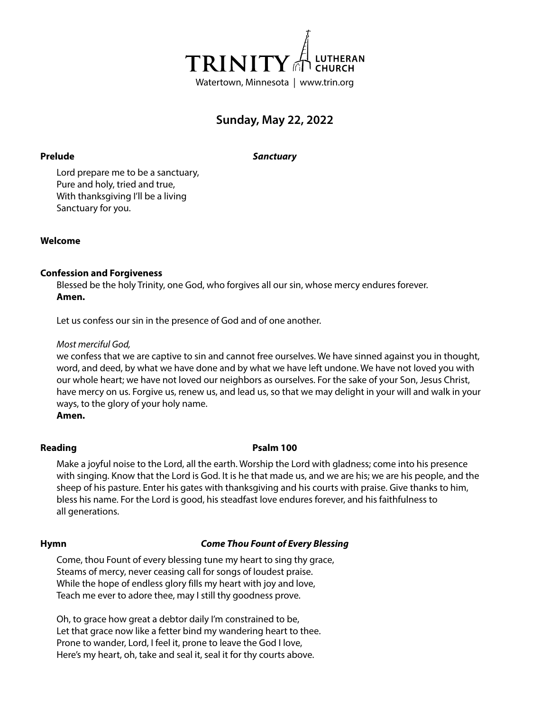

# **Sunday, May 22, 2022**

**Prelude** *Sanctuary*

Lord prepare me to be a sanctuary, Pure and holy, tried and true, With thanksgiving I'll be a living Sanctuary for you.

**Welcome**

### **Confession and Forgiveness**

Blessed be the holy Trinity, one God, who forgives all our sin, whose mercy endures forever. **Amen.**

Let us confess our sin in the presence of God and of one another.

### *Most merciful God,*

we confess that we are captive to sin and cannot free ourselves. We have sinned against you in thought, word, and deed, by what we have done and by what we have left undone. We have not loved you with our whole heart; we have not loved our neighbors as ourselves. For the sake of your Son, Jesus Christ, have mercy on us. Forgive us, renew us, and lead us, so that we may delight in your will and walk in your ways, to the glory of your holy name.

**Amen.**

## **Reading Psalm 100**

Make a joyful noise to the Lord, all the earth. Worship the Lord with gladness; come into his presence with singing. Know that the Lord is God. It is he that made us, and we are his; we are his people, and the sheep of his pasture. Enter his gates with thanksgiving and his courts with praise. Give thanks to him, bless his name. For the Lord is good, his steadfast love endures forever, and his faithfulness to all generations.

## **Hymn** *Come Thou Fount of Every Blessing*

Come, thou Fount of every blessing tune my heart to sing thy grace, Steams of mercy, never ceasing call for songs of loudest praise. While the hope of endless glory fills my heart with joy and love, Teach me ever to adore thee, may I still thy goodness prove.

Oh, to grace how great a debtor daily I'm constrained to be, Let that grace now like a fetter bind my wandering heart to thee. Prone to wander, Lord, I feel it, prone to leave the God I love, Here's my heart, oh, take and seal it, seal it for thy courts above.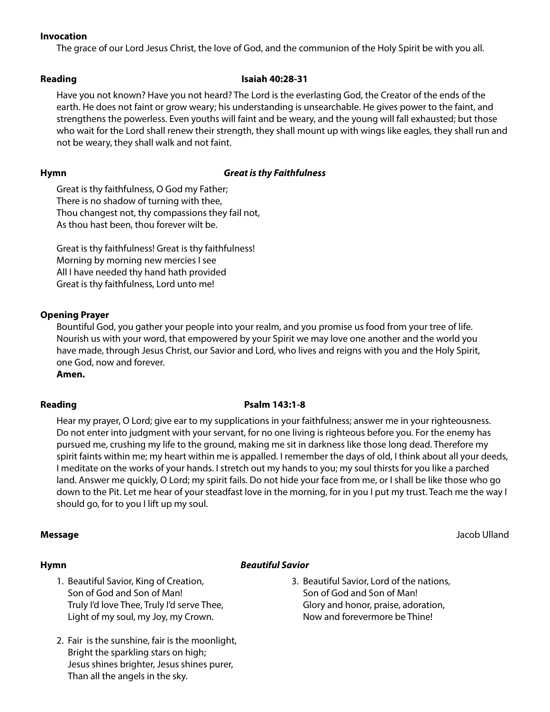### **Invocation**

The grace of our Lord Jesus Christ, the love of God, and the communion of the Holy Spirit be with you all.

## **Reading Isaiah 40:28-31**

Have you not known? Have you not heard? The Lord is the everlasting God, the Creator of the ends of the earth. He does not faint or grow weary; his understanding is unsearchable. He gives power to the faint, and strengthens the powerless. Even youths will faint and be weary, and the young will fall exhausted; but those who wait for the Lord shall renew their strength, they shall mount up with wings like eagles, they shall run and not be weary, they shall walk and not faint.

## **Hymn** *Great is thy Faithfulness*

Great is thy faithfulness, O God my Father; There is no shadow of turning with thee, Thou changest not, thy compassions they fail not, As thou hast been, thou forever wilt be.

Great is thy faithfulness! Great is thy faithfulness! Morning by morning new mercies I see All I have needed thy hand hath provided Great is thy faithfulness, Lord unto me!

### **Opening Prayer**

Bountiful God, you gather your people into your realm, and you promise us food from your tree of life. Nourish us with your word, that empowered by your Spirit we may love one another and the world you have made, through Jesus Christ, our Savior and Lord, who lives and reigns with you and the Holy Spirit, one God, now and forever.

**Amen.**

### **Reading Psalm 143:1-8**

Hear my prayer, O Lord; give ear to my supplications in your faithfulness; answer me in your righteousness. Do not enter into judgment with your servant, for no one living is righteous before you. For the enemy has pursued me, crushing my life to the ground, making me sit in darkness like those long dead. Therefore my spirit faints within me; my heart within me is appalled. I remember the days of old, I think about all your deeds, I meditate on the works of your hands. I stretch out my hands to you; my soul thirsts for you like a parched land. Answer me quickly, O Lord; my spirit fails. Do not hide your face from me, or I shall be like those who go down to the Pit. Let me hear of your steadfast love in the morning, for in you I put my trust. Teach me the way I should go, for to you I lift up my soul.

**Message** Jacob Ulland

## **Hymn** *Beautiful Savior*

- 1. Beautiful Savior, King of Creation, Son of God and Son of Man! Truly I'd love Thee, Truly I'd serve Thee, Light of my soul, my Joy, my Crown.
- 2. Fair is the sunshine, fair is the moonlight, Bright the sparkling stars on high; Jesus shines brighter, Jesus shines purer, Than all the angels in the sky.
- 3. Beautiful Savior, Lord of the nations, Son of God and Son of Man! Glory and honor, praise, adoration, Now and forevermore be Thine!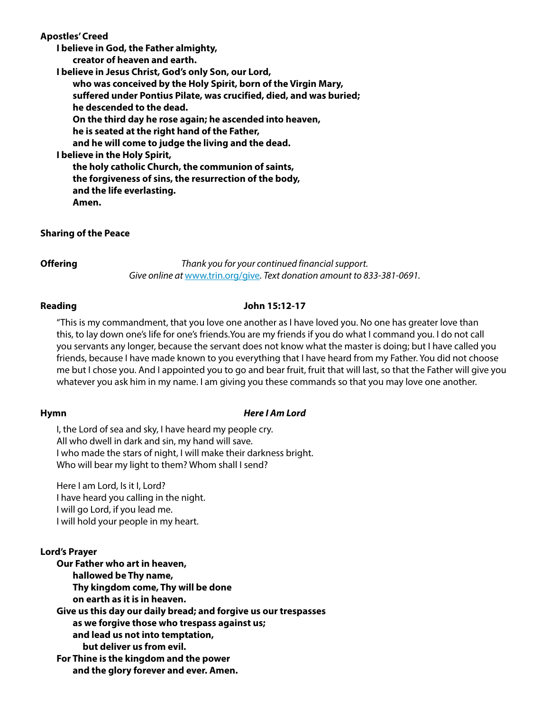**Apostles' Creed I believe in God, the Father almighty, creator of heaven and earth. I believe in Jesus Christ, God's only Son, our Lord, who was conceived by the Holy Spirit, born of the Virgin Mary, suffered under Pontius Pilate, was crucified, died, and was buried; he descended to the dead. On the third day he rose again; he ascended into heaven, he is seated at the right hand of the Father, and he will come to judge the living and the dead. I believe in the Holy Spirit, the holy catholic Church, the communion of saints, the forgiveness of sins, the resurrection of the body, and the life everlasting. Amen.**

### **Sharing of the Peace**

**Offering** *Thank you for your continued financial support. Give online at* www.trin.org/give*. Text donation amount to 833-381-0691.*

### **Reading John 15:12-17**

"This is my commandment, that you love one another as I have loved you. No one has greater love than this, to lay down one's life for one's friends.You are my friends if you do what I command you. I do not call you servants any longer, because the servant does not know what the master is doing; but I have called you friends, because I have made known to you everything that I have heard from my Father. You did not choose me but I chose you. And I appointed you to go and bear fruit, fruit that will last, so that the Father will give you whatever you ask him in my name. I am giving you these commands so that you may love one another.

### **Hymn** *Here I Am Lord*

I, the Lord of sea and sky, I have heard my people cry. All who dwell in dark and sin, my hand will save. I who made the stars of night, I will make their darkness bright. Who will bear my light to them? Whom shall I send?

Here I am Lord, Is it I, Lord? I have heard you calling in the night. I will go Lord, if you lead me. I will hold your people in my heart.

### **Lord's Prayer**

**Our Father who art in heaven, hallowed be Thy name, Thy kingdom come, Thy will be done on earth as it is in heaven. Give us this day our daily bread; and forgive us our trespasses as we forgive those who trespass against us; and lead us not into temptation, but deliver us from evil. For Thine is the kingdom and the power and the glory forever and ever. Amen.**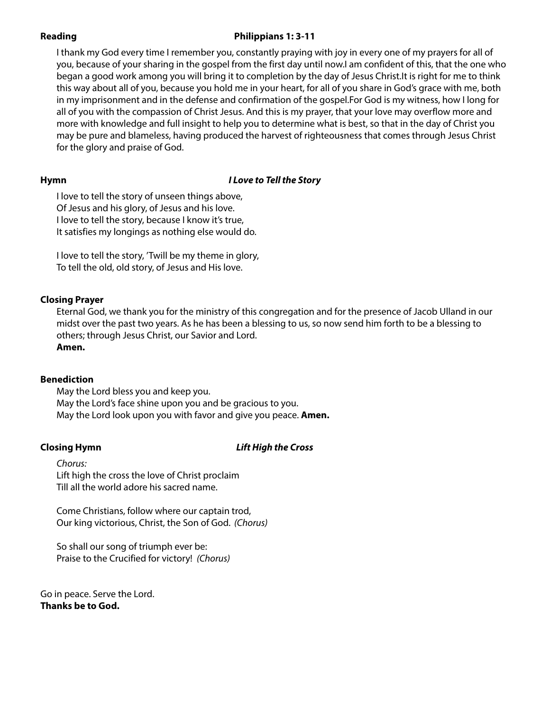## **Reading Philippians 1: 3-11**

I thank my God every time I remember you, constantly praying with joy in every one of my prayers for all of you, because of your sharing in the gospel from the first day until now.I am confident of this, that the one who began a good work among you will bring it to completion by the day of Jesus Christ.It is right for me to think this way about all of you, because you hold me in your heart, for all of you share in God's grace with me, both in my imprisonment and in the defense and confirmation of the gospel.For God is my witness, how I long for all of you with the compassion of Christ Jesus. And this is my prayer, that your love may overflow more and more with knowledge and full insight to help you to determine what is best, so that in the day of Christ you may be pure and blameless, having produced the harvest of righteousness that comes through Jesus Christ for the glory and praise of God.

## **Hymn** *I Love to Tell the Story*

I love to tell the story of unseen things above, Of Jesus and his glory, of Jesus and his love. I love to tell the story, because I know it's true, It satisfies my longings as nothing else would do.

I love to tell the story, 'Twill be my theme in glory, To tell the old, old story, of Jesus and His love.

## **Closing Prayer**

Eternal God, we thank you for the ministry of this congregation and for the presence of Jacob Ulland in our midst over the past two years. As he has been a blessing to us, so now send him forth to be a blessing to others; through Jesus Christ, our Savior and Lord. **Amen.**

## **Benediction**

May the Lord bless you and keep you. May the Lord's face shine upon you and be gracious to you. May the Lord look upon you with favor and give you peace. **Amen.**

## **Closing Hymn** *Lift High the Cross*

*Chorus:* Lift high the cross the love of Christ proclaim Till all the world adore his sacred name.

Come Christians, follow where our captain trod, Our king victorious, Christ, the Son of God. *(Chorus)*

So shall our song of triumph ever be: Praise to the Crucified for victory! *(Chorus)*

Go in peace. Serve the Lord. **Thanks be to God.**